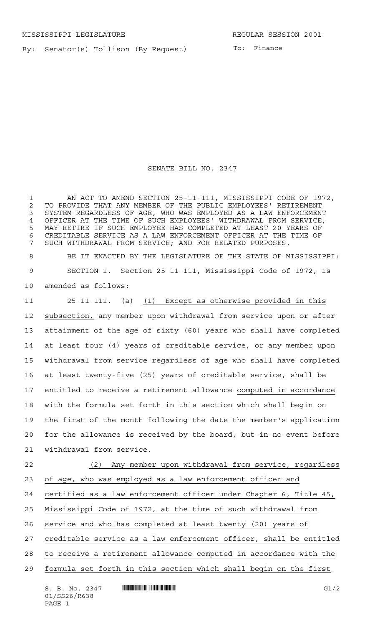By: Senator(s) Tollison (By Request)

SENATE BILL NO. 2347

 AN ACT TO AMEND SECTION 25-11-111, MISSISSIPPI CODE OF 1972, 2 TO PROVIDE THAT ANY MEMBER OF THE PUBLIC EMPLOYEES' RETIREMENT<br>3 SYSTEM REGARDLESS OF AGE, WHO WAS EMPLOYED AS A LAW ENFORCEMENT SYSTEM REGARDLESS OF AGE, WHO WAS EMPLOYED AS A LAW ENFORCEMENT OFFICER AT THE TIME OF SUCH EMPLOYEES' WITHDRAWAL FROM SERVICE, MAY RETIRE IF SUCH EMPLOYEE HAS COMPLETED AT LEAST 20 YEARS OF CREDITABLE SERVICE AS A LAW ENFORCEMENT OFFICER AT THE TIME OF SUCH WITHDRAWAL FROM SERVICE; AND FOR RELATED PURPOSES. BE IT ENACTED BY THE LEGISLATURE OF THE STATE OF MISSISSIPPI:

 SECTION 1. Section 25-11-111, Mississippi Code of 1972, is amended as follows:

 25-11-111. (a) (1) Except as otherwise provided in this subsection, any member upon withdrawal from service upon or after attainment of the age of sixty (60) years who shall have completed at least four (4) years of creditable service, or any member upon withdrawal from service regardless of age who shall have completed at least twenty-five (25) years of creditable service, shall be entitled to receive a retirement allowance computed in accordance with the formula set forth in this section which shall begin on the first of the month following the date the member's application for the allowance is received by the board, but in no event before withdrawal from service.

 (2) Any member upon withdrawal from service, regardless of age, who was employed as a law enforcement officer and certified as a law enforcement officer under Chapter 6, Title 45, Mississippi Code of 1972, at the time of such withdrawal from service and who has completed at least twenty (20) years of creditable service as a law enforcement officer, shall be entitled to receive a retirement allowance computed in accordance with the

formula set forth in this section which shall begin on the first

 $S. B. No. 2347$   $\qquad$   $\qquad$   $\qquad$   $\qquad$   $\qquad$   $\qquad$   $\qquad$   $\qquad$   $\qquad$   $\qquad$   $\qquad$   $\qquad$   $\qquad$   $\qquad$   $\qquad$   $\qquad$   $\qquad$   $\qquad$   $\qquad$   $\qquad$   $\qquad$   $\qquad$   $\qquad$   $\qquad$   $\qquad$   $\qquad$   $\qquad$   $\qquad$   $\qquad$   $\qquad$   $\qquad$   $\qquad$   $\qquad$   $\qquad$   $\q$ 01/SS26/R638 PAGE 1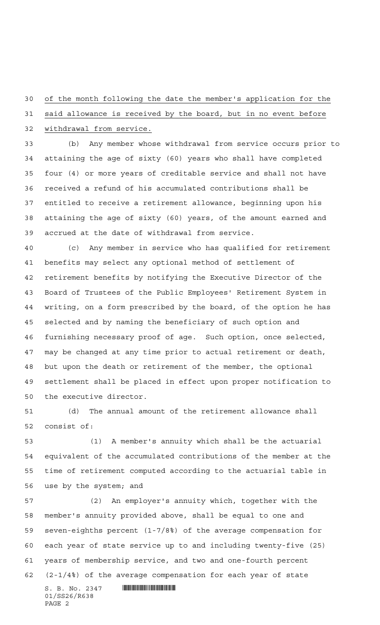## of the month following the date the member's application for the

 said allowance is received by the board, but in no event before withdrawal from service.

 (b) Any member whose withdrawal from service occurs prior to attaining the age of sixty (60) years who shall have completed four (4) or more years of creditable service and shall not have received a refund of his accumulated contributions shall be entitled to receive a retirement allowance, beginning upon his attaining the age of sixty (60) years, of the amount earned and accrued at the date of withdrawal from service.

 (c) Any member in service who has qualified for retirement benefits may select any optional method of settlement of retirement benefits by notifying the Executive Director of the Board of Trustees of the Public Employees' Retirement System in writing, on a form prescribed by the board, of the option he has selected and by naming the beneficiary of such option and furnishing necessary proof of age. Such option, once selected, may be changed at any time prior to actual retirement or death, but upon the death or retirement of the member, the optional settlement shall be placed in effect upon proper notification to the executive director.

 (d) The annual amount of the retirement allowance shall consist of:

 (1) A member's annuity which shall be the actuarial equivalent of the accumulated contributions of the member at the time of retirement computed according to the actuarial table in use by the system; and

 $S. B. No. 2347$  . So  $R<sub>347</sub>$  (2) An employer's annuity which, together with the member's annuity provided above, shall be equal to one and seven-eighths percent (1-7/8%) of the average compensation for each year of state service up to and including twenty-five (25) years of membership service, and two and one-fourth percent (2-1/4%) of the average compensation for each year of state

01/SS26/R638 PAGE 2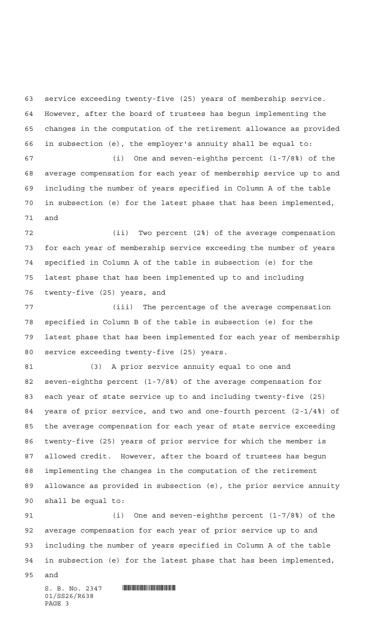service exceeding twenty-five (25) years of membership service. However, after the board of trustees has begun implementing the changes in the computation of the retirement allowance as provided in subsection (e), the employer's annuity shall be equal to:

 (i) One and seven-eighths percent (1-7/8%) of the average compensation for each year of membership service up to and including the number of years specified in Column A of the table in subsection (e) for the latest phase that has been implemented, and

 (ii) Two percent (2%) of the average compensation for each year of membership service exceeding the number of years specified in Column A of the table in subsection (e) for the latest phase that has been implemented up to and including twenty-five (25) years, and

 (iii) The percentage of the average compensation specified in Column B of the table in subsection (e) for the latest phase that has been implemented for each year of membership service exceeding twenty-five (25) years.

 (3) A prior service annuity equal to one and seven-eighths percent (1-7/8%) of the average compensation for each year of state service up to and including twenty-five (25) years of prior service, and two and one-fourth percent (2-1/4%) of the average compensation for each year of state service exceeding twenty-five (25) years of prior service for which the member is allowed credit. However, after the board of trustees has begun implementing the changes in the computation of the retirement allowance as provided in subsection (e), the prior service annuity shall be equal to:

 (i) One and seven-eighths percent (1-7/8%) of the average compensation for each year of prior service up to and including the number of years specified in Column A of the table in subsection (e) for the latest phase that has been implemented,

and

 $S. B. No. 2347$  . So  $R347$ 01/SS26/R638 PAGE 3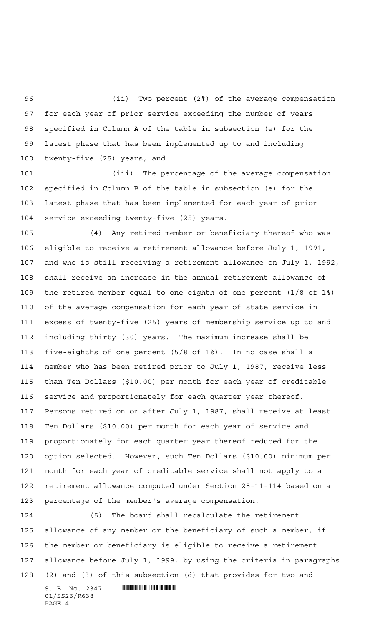(ii) Two percent (2%) of the average compensation for each year of prior service exceeding the number of years specified in Column A of the table in subsection (e) for the latest phase that has been implemented up to and including twenty-five (25) years, and

 (iii) The percentage of the average compensation specified in Column B of the table in subsection (e) for the latest phase that has been implemented for each year of prior service exceeding twenty-five (25) years.

 (4) Any retired member or beneficiary thereof who was eligible to receive a retirement allowance before July 1, 1991, and who is still receiving a retirement allowance on July 1, 1992, shall receive an increase in the annual retirement allowance of the retired member equal to one-eighth of one percent (1/8 of 1%) of the average compensation for each year of state service in excess of twenty-five (25) years of membership service up to and including thirty (30) years. The maximum increase shall be five-eighths of one percent (5/8 of 1%). In no case shall a member who has been retired prior to July 1, 1987, receive less than Ten Dollars (\$10.00) per month for each year of creditable service and proportionately for each quarter year thereof. Persons retired on or after July 1, 1987, shall receive at least Ten Dollars (\$10.00) per month for each year of service and proportionately for each quarter year thereof reduced for the option selected. However, such Ten Dollars (\$10.00) minimum per month for each year of creditable service shall not apply to a retirement allowance computed under Section 25-11-114 based on a percentage of the member's average compensation.

 $S. B. No. 2347$  . So  $R<sub>347</sub>$  (5) The board shall recalculate the retirement allowance of any member or the beneficiary of such a member, if the member or beneficiary is eligible to receive a retirement allowance before July 1, 1999, by using the criteria in paragraphs (2) and (3) of this subsection (d) that provides for two and

01/SS26/R638 PAGE 4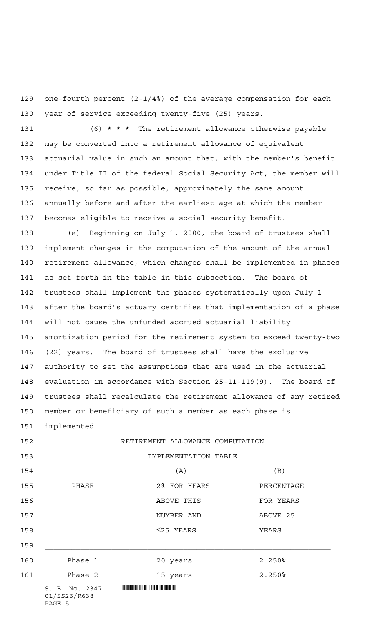one-fourth percent (2-1/4%) of the average compensation for each year of service exceeding twenty-five (25) years.

 (6) **\*\*\*** The retirement allowance otherwise payable may be converted into a retirement allowance of equivalent actuarial value in such an amount that, with the member's benefit under Title II of the federal Social Security Act, the member will receive, so far as possible, approximately the same amount annually before and after the earliest age at which the member becomes eligible to receive a social security benefit.

 (e) Beginning on July 1, 2000, the board of trustees shall implement changes in the computation of the amount of the annual retirement allowance, which changes shall be implemented in phases as set forth in the table in this subsection. The board of trustees shall implement the phases systematically upon July 1 after the board's actuary certifies that implementation of a phase will not cause the unfunded accrued actuarial liability amortization period for the retirement system to exceed twenty-two (22) years. The board of trustees shall have the exclusive authority to set the assumptions that are used in the actuarial evaluation in accordance with Section 25-11-119(9). The board of trustees shall recalculate the retirement allowance of any retired member or beneficiary of such a member as each phase is

implemented.

 $S. B. No. 2347$  . So  $R<sub>347</sub>$ 01/SS26/R638 RETIREMENT ALLOWANCE COMPUTATION IMPLEMENTATION TABLE (A) (B) PHASE 2% FOR YEARS PERCENTAGE ABOVE THIS FOR YEARS NUMBER AND ABOVE 25 ≤25 YEARS YEARS Phase 1 20 years 2.250% 161 Phase 2 15 years 2.250%

PAGE 5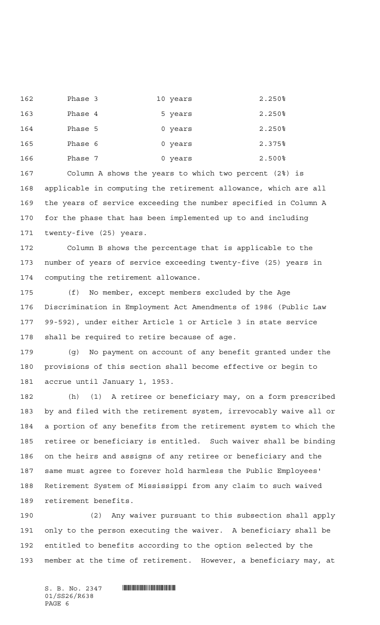Phase 3 10 years 2.250% 163 Phase 4 5 years 2.250% Phase 5 0 years 2.250% Phase 6 0 years 2.375% Phase 7 0 years 2.500%

 Column A shows the years to which two percent (2%) is applicable in computing the retirement allowance, which are all the years of service exceeding the number specified in Column A for the phase that has been implemented up to and including twenty-five (25) years.

 Column B shows the percentage that is applicable to the number of years of service exceeding twenty-five (25) years in computing the retirement allowance.

 (f) No member, except members excluded by the Age Discrimination in Employment Act Amendments of 1986 (Public Law 99-592), under either Article 1 or Article 3 in state service shall be required to retire because of age.

 (g) No payment on account of any benefit granted under the provisions of this section shall become effective or begin to accrue until January 1, 1953.

 (h) (1) A retiree or beneficiary may, on a form prescribed by and filed with the retirement system, irrevocably waive all or a portion of any benefits from the retirement system to which the retiree or beneficiary is entitled. Such waiver shall be binding on the heirs and assigns of any retiree or beneficiary and the same must agree to forever hold harmless the Public Employees' Retirement System of Mississippi from any claim to such waived retirement benefits.

 (2) Any waiver pursuant to this subsection shall apply only to the person executing the waiver. A beneficiary shall be entitled to benefits according to the option selected by the member at the time of retirement. However, a beneficiary may, at

 $S. B. No. 2347$  . So  $R347$ 01/SS26/R638 PAGE 6